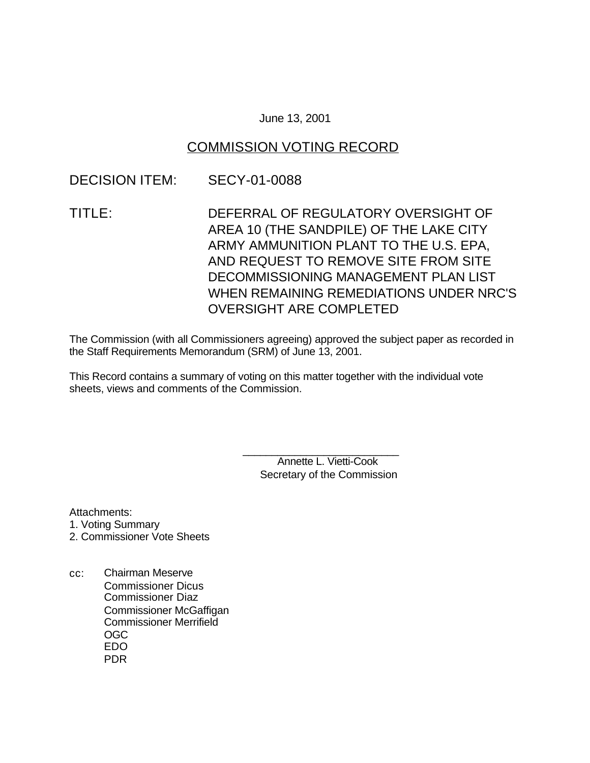### June 13, 2001

### COMMISSION VOTING RECORD

### DECISION ITEM: SECY-01-0088

TITLE: DEFERRAL OF REGULATORY OVERSIGHT OF AREA 10 (THE SANDPILE) OF THE LAKE CITY ARMY AMMUNITION PLANT TO THE U.S. EPA, AND REQUEST TO REMOVE SITE FROM SITE DECOMMISSIONING MANAGEMENT PLAN LIST WHEN REMAINING REMEDIATIONS UNDER NRC'S OVERSIGHT ARE COMPLETED

The Commission (with all Commissioners agreeing) approved the subject paper as recorded in the Staff Requirements Memorandum (SRM) of June 13, 2001.

This Record contains a summary of voting on this matter together with the individual vote sheets, views and comments of the Commission.

> \_\_\_\_\_\_\_\_\_\_\_\_\_\_\_\_\_\_\_\_\_\_\_\_\_\_\_ Annette L. Vietti-Cook Secretary of the Commission

Attachments:

- 1. Voting Summary
- 2. Commissioner Vote Sheets
- cc: Chairman Meserve Commissioner Dicus Commissioner Diaz Commissioner McGaffigan Commissioner Merrifield OGC EDO PDR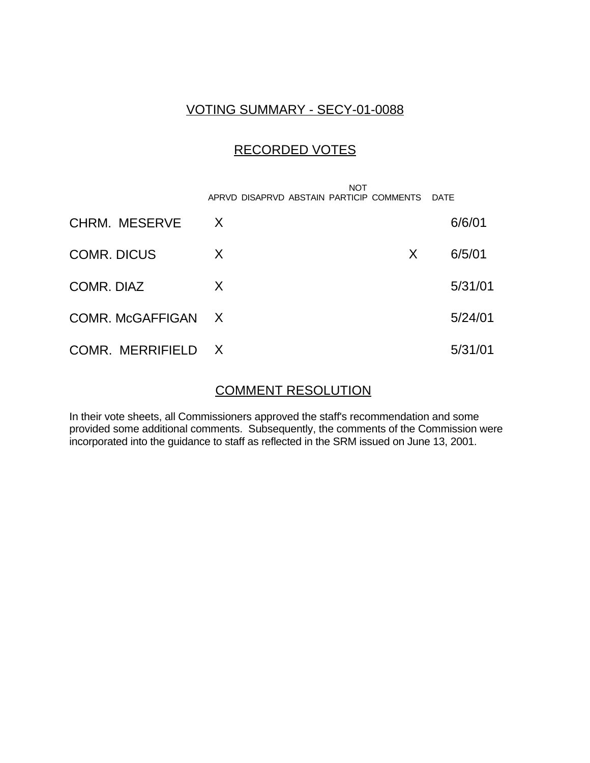## VOTING SUMMARY - SECY-01-0088

## RECORDED VOTES

|                      | <b>NOT</b><br>APRVD DISAPRVD ABSTAIN PARTICIP COMMENTS |   | <b>DATE</b> |
|----------------------|--------------------------------------------------------|---|-------------|
| <b>CHRM. MESERVE</b> | X                                                      |   | 6/6/01      |
| <b>COMR. DICUS</b>   | X                                                      | X | 6/5/01      |
| COMR. DIAZ           | X                                                      |   | 5/31/01     |
| COMR. McGAFFIGAN X   |                                                        |   | 5/24/01     |
| COMR. MERRIFIELD X   |                                                        |   | 5/31/01     |

# COMMENT RESOLUTION

In their vote sheets, all Commissioners approved the staff's recommendation and some provided some additional comments. Subsequently, the comments of the Commission were incorporated into the guidance to staff as reflected in the SRM issued on June 13, 2001.